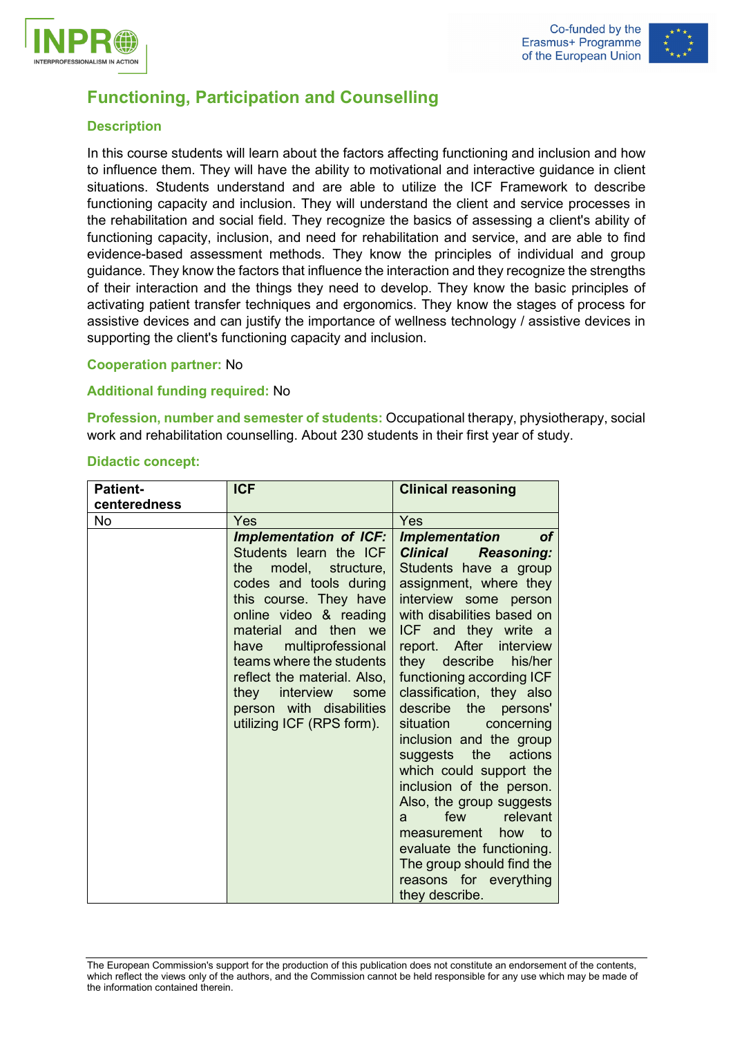



# **Functioning, Participation and Counselling**

## **Description**

In this course students will learn about the factors affecting functioning and inclusion and how to influence them. They will have the ability to motivational and interactive guidance in client situations. Students understand and are able to utilize the ICF Framework to describe functioning capacity and inclusion. They will understand the client and service processes in the rehabilitation and social field. They recognize the basics of assessing a client's ability of functioning capacity, inclusion, and need for rehabilitation and service, and are able to find evidence-based assessment methods. They know the principles of individual and group guidance. They know the factors that influence the interaction and they recognize the strengths of their interaction and the things they need to develop. They know the basic principles of activating patient transfer techniques and ergonomics. They know the stages of process for assistive devices and can justify the importance of wellness technology / assistive devices in supporting the client's functioning capacity and inclusion.

## **Cooperation partner:** No

## **Additional funding required:** No

**Profession, number and semester of students:** Occupational therapy, physiotherapy, social work and rehabilitation counselling. About 230 students in their first year of study.

## **Didactic concept:**

| <b>Patient-</b><br>centeredness | <b>ICF</b>                                                                                                                                                                                                                                                                                                                                                           | <b>Clinical reasoning</b>                                                                                                                                                                                                                                                                                                                                                                                                                                                                                                                                                                                                                                                                                                                                                                            |  |  |
|---------------------------------|----------------------------------------------------------------------------------------------------------------------------------------------------------------------------------------------------------------------------------------------------------------------------------------------------------------------------------------------------------------------|------------------------------------------------------------------------------------------------------------------------------------------------------------------------------------------------------------------------------------------------------------------------------------------------------------------------------------------------------------------------------------------------------------------------------------------------------------------------------------------------------------------------------------------------------------------------------------------------------------------------------------------------------------------------------------------------------------------------------------------------------------------------------------------------------|--|--|
| <b>No</b>                       | Yes                                                                                                                                                                                                                                                                                                                                                                  | Yes                                                                                                                                                                                                                                                                                                                                                                                                                                                                                                                                                                                                                                                                                                                                                                                                  |  |  |
|                                 | <b>Implementation of ICF:</b><br>Students learn the ICF<br>model, structure,<br>the<br>codes and tools during<br>this course. They have<br>online video & reading<br>material and then we<br>multiprofessional<br>have<br>teams where the students<br>reflect the material. Also,<br>they interview<br>some<br>person with disabilities<br>utilizing ICF (RPS form). | <b>Implementation</b><br><b>of</b><br><b>Clinical</b><br><b>Reasoning:</b><br>Students have a group<br>assignment, where they<br>interview some person<br>with disabilities based on<br>ICF and they write a<br>report. After interview<br>they describe<br>his/her<br>functioning according ICF<br>classification, they also<br>describe<br>the<br>persons'<br>situation<br>concerning<br>inclusion and the group<br>the<br>suggests<br>actions<br>which could support the<br>inclusion of the person.<br>Also, the group suggests<br>relevant<br>few the set of the set of the set of the set of the set of the set of the set of the set of the set of the set o<br>a<br>measurement how to<br>evaluate the functioning.<br>The group should find the<br>reasons for everything<br>they describe. |  |  |

The European Commission's support for the production of this publication does not constitute an endorsement of the contents, which reflect the views only of the authors, and the Commission cannot be held responsible for any use which may be made of the information contained therein.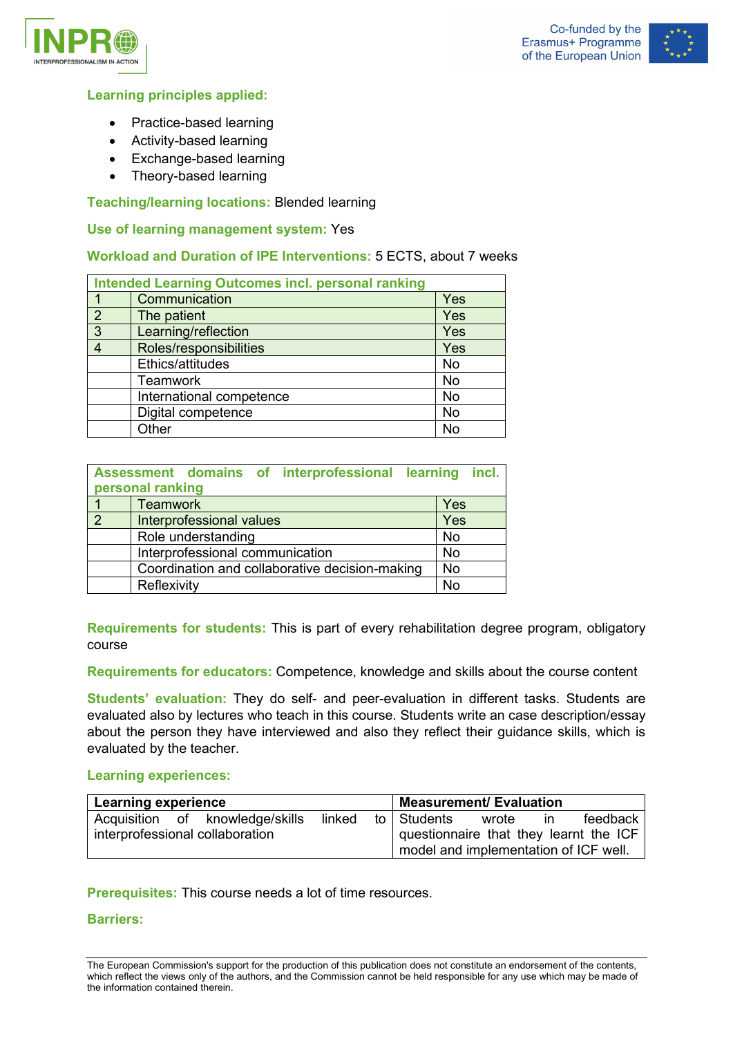



## **Learning principles applied:**

- Practice-based learning
- Activity-based learning
- Exchange-based learning
- Theory-based learning

## **Teaching/learning locations:** Blended learning

#### **Use of learning management system:** Yes

#### **Workload and Duration of IPE Interventions:** 5 ECTS, about 7 weeks

| <b>Intended Learning Outcomes incl. personal ranking</b> |                          |           |  |  |
|----------------------------------------------------------|--------------------------|-----------|--|--|
|                                                          | Communication            | Yes       |  |  |
| $\overline{2}$                                           | The patient              | Yes       |  |  |
| 3                                                        | Learning/reflection      | Yes       |  |  |
|                                                          | Roles/responsibilities   | Yes       |  |  |
|                                                          | Ethics/attitudes         | <b>No</b> |  |  |
|                                                          | <b>Teamwork</b>          | <b>No</b> |  |  |
|                                                          | International competence | <b>No</b> |  |  |
|                                                          | Digital competence       | <b>No</b> |  |  |
|                                                          | Other                    | No        |  |  |

|               | Assessment domains of interprofessional learning<br>personal ranking | incl.     |  |  |  |
|---------------|----------------------------------------------------------------------|-----------|--|--|--|
|               | <b>Teamwork</b>                                                      | Yes       |  |  |  |
| $\mathcal{P}$ | Interprofessional values                                             | Yes       |  |  |  |
|               | Role understanding                                                   | <b>No</b> |  |  |  |
|               | Interprofessional communication                                      | <b>No</b> |  |  |  |
|               | Coordination and collaborative decision-making                       | <b>No</b> |  |  |  |
|               | Reflexivity                                                          |           |  |  |  |

**Requirements for students:** This is part of every rehabilitation degree program, obligatory course

**Requirements for educators:** Competence, knowledge and skills about the course content

**Students' evaluation:** They do self- and peer-evaluation in different tasks. Students are evaluated also by lectures who teach in this course. Students write an case description/essay about the person they have interviewed and also they reflect their guidance skills, which is evaluated by the teacher.

#### **Learning experiences:**

| <b>Learning experience</b>      |  |                                 |        | <b>Measurement/ Evaluation</b>         |               |       |    |          |
|---------------------------------|--|---------------------------------|--------|----------------------------------------|---------------|-------|----|----------|
|                                 |  | Acquisition of knowledge/skills | linked |                                        | to I Students | wrote | In | feedback |
| interprofessional collaboration |  |                                 |        | questionnaire that they learnt the ICF |               |       |    |          |
|                                 |  |                                 |        | model and implementation of ICF well.  |               |       |    |          |

**Prerequisites:** This course needs a lot of time resources.

#### **Barriers:**

The European Commission's support for the production of this publication does not constitute an endorsement of the contents, which reflect the views only of the authors, and the Commission cannot be held responsible for any use which may be made of the information contained therein.